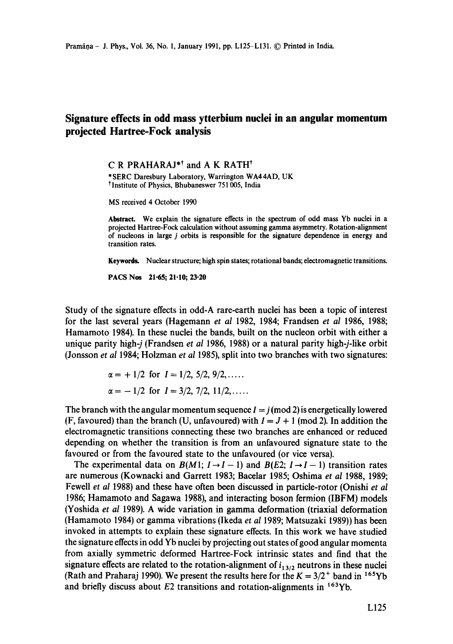## **Signature effects in odd mass ytterbium nuclei in an angular momentum projected Hartree-Fock analysis**

**C R PRAHARAJ\*<sup>†</sup> and A K RATH<sup>†</sup>** 

\*SERC Daresbury Laboratory, Warrington WA44AD, UK <sup>†</sup> Institute of Physics, Bhubaneswer 751 005, India

MS received 4 October 1990

**Abstract.** We explain the signature effects in the spectrum of odd mass Yb nuclei in a projected Hartree-Fock calculation without assuming gamma asymmetry. Rotation-alignment of nucleons in large j orbits is responsible for the signature dependence in energy and transition rates.

**Keywords.** Nuclear structure; high spin states; rotational bands; electromagnetic transitions.

PACS Nos 21.65; 21-10; 23.20

Study of the signature effects in odd-A rare-earth nuclei has been a topic of interest for the last several years (Hagemann *et al* 1982, 1984; Frandsen *et al* 1986, 1988; Hamamoto 1984). In these nuclei the bands, built on the nucleon orbit with either a unique parity high-j (Frandsen *et al* 1986, 1988) or a natural parity high-j-like orbit (Jonsson *et al* 1984; Holzman *et al* 1985), split into two branches with two signatures:

$$
\alpha = +1/2
$$
 for  $I = 1/2, 5/2, 9/2,...$   
\n $\alpha = -1/2$  for  $I = 3/2, 7/2, 11/2,...$ 

The branch with the angular momentum sequence  $I = j \pmod{2}$  is energetically lowered (F, favoured) than the branch (U, unfavoured) with  $I = J + 1$  (mod 2). In addition the electromagnetic transitions connecting these two branches are enhanced or reduced depending on whether the transition is from an unfavoured signature state to the favoured or from the favoured state to the unfavoured (or vice versa).

The experimental data on  $B(M1; I \rightarrow I - 1)$  and  $B(E2; I \rightarrow I - 1)$  transition rates are numerous (Kownacki and Garrett 1983; Bacelar 1985; Oshima *et al* 1988, 1989; Fewell *et al* 1988) and these have often been discussed in particle-rotor (Onishi *et al*  1986; Hamamoto and Sagawa 1988), and interacting boson fermion (IBFM) models (Yoshida *et al* 1989). A wide variation in gamma deformation (triaxial deformation (Hamamoto 1984) or gamma vibrations (Ikeda *et al* 1989; Matsuzaki 1989)) has been invoked in attempts to explain these signature effects. In this work we have studied the signature effects in odd Yb nuclei by projecting out states of good angular momenta from axially symmetric deformed Hartree-Fock intrinsic states and find that the signature effects are related to the rotation-alignment of  $i_{13/2}$  neutrons in these nuclei (Rath and Praharaj 1990). We present the results here for the  $K = 3/2^+$  band in <sup>165</sup>Yb and briefly discuss about  $E2$  transitions and rotation-alignments in  $163Yb$ .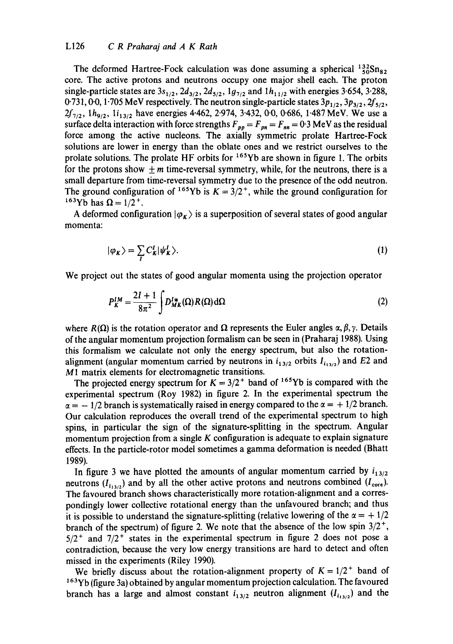## L126 *C R Praharaj and A K Rath*

The deformed Hartree-Fock calculation was done assuming a spherical  $^{132}_{50}Sn_{82}$ . core. The active protons and neutrons occupy one major shell each. The proton single-particle states are  $3s_{1/2}$ ,  $2d_{3/2}$ ,  $2d_{5/2}$ ,  $1g_{7/2}$  and  $1h_{11/2}$  with energies 3.654, 3.288, 0.731, 0.0, 1.705 MeV respectively. The neutron single-particle states  $3p_{1/2}$ ,  $3p_{3/2}$ ,  $2f_{5/2}$ ,  $2f_{7/2}$ ,  $1h_{9/2}$ ,  $1i_{13/2}$  have energies 4.462, 2.974, 3.432, 0.0, 0.686, 1.487 MeV. We use a surface delta interaction with force strengths  $F_{pp} = F_{pn} = F_{nn} = 0.3$  MeV as the residual force among the active nucleons. The axially symmetric prolate Hartree-Fock solutions are lower in energy than the oblate ones and we restrict ourselves to the prolate solutions. The prolate HF orbits for  $165Yb$  are shown in figure 1. The orbits for the protons show  $+m$  time-reversal symmetry, while, for the neutrons, there is a small departure from time-reversal symmetry due to the presence of the odd neutron. The ground configuration of <sup>165</sup>Yb is  $K = 3/2^+$ , while the ground configuration for <sup>163</sup>Yb has  $Ω = 1/2$ <sup>+</sup>.

A deformed configuration  $|\varphi_{K}\rangle$  is a superposition of several states of good angular momenta:

$$
|\varphi_K\rangle = \sum_{I} C_K^I |\psi_K^I\rangle. \tag{1}
$$

We project out the states of good angular momenta using the projection operator

$$
P_K^{IM} = \frac{2I + 1}{8\pi^2} \int D_{MK}^{I*}(\Omega) R(\Omega) d\Omega
$$
 (2)

where  $R(\Omega)$  is the rotation operator and  $\Omega$  represents the Euler angles  $\alpha, \beta, \gamma$ . Details of the angular momentum projection formalism can be seen in (Praharaj 1988). Using this formalism we calculate not only the energy spectrum, but also the rotationalignment (angular momentum carried by neutrons in  $i_{13/2}$  orbits  $I_{i_{13/2}}$ ) and E2 and M1 matrix elements for electromagnetic transitions.

The projected energy spectrum for  $K = 3/2^+$  band of <sup>165</sup>Yb is compared with the experimental spectrum (Roy 1982) in figure 2. In the experimental spectrum the  $\alpha = -1/2$  branch is systematically raised in energy compared to the  $\alpha = +1/2$  branch. Our calculation reproduces the overall trend of the experimental spectrum to high spins, in particular the sign of the signature-splitting in the spectrum. Angular momentum projection from a single  $K$  configuration is adequate to explain signature effects. In the particle-rotor model sometimes a gamma deformation is needed (Bhatt 1989).

In figure 3 we have plotted the amounts of angular momentum carried by  $i_{13/2}$ neutrons  $(I_{i_{13/2}})$  and by all the other active protons and neutrons combined  $(I_{\text{core}})$ . The favoured branch shows characteristically more rotation-alignment and a correspondingly lower collective rotational energy than the unfavoured branch; and thus it is possible to understand the signature-splitting (relative lowering of the  $\alpha = +1/2$ branch of the spectrum) of figure 2. We note that the absence of the low spin  $3/2^+$ ,  $5/2$ <sup>+</sup> and  $7/2$ <sup>+</sup> states in the experimental spectrum in figure 2 does not pose a contradiction, because the very low energy transitions are hard to detect and often missed in the experiments (Riley 1990).

We briefly discuss about the rotation-alignment property of  $K = 1/2^+$  band of <sup>163</sup>Yb (figure 3a) obtained by angular momentum projection calculation. The favoured branch has a large and almost constant  $i_{13/2}$  neutron alignment  $(I_{i_{13/2}})$  and the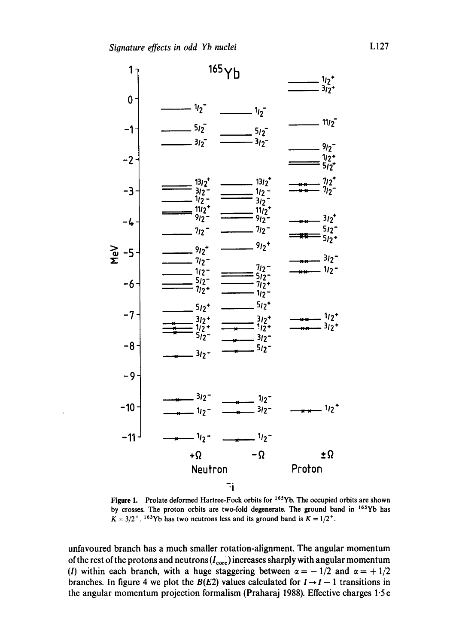

Figure 1. Prolate deformed Hartree-Fock orbits for <sup>165</sup>Yb. The occupied orbits are shown by crosses. The proton orbits are two-fold degenerate. The ground band in 165Yb has  $K = 3/2^+$ . <sup>163</sup>Yb has two neutrons less and its ground band is  $K = 1/2^+$ .

unfavoured branch has a much smaller rotation-alignment. The angular momentum of the rest of the protons and neutrons  $(I_{\text{core}})$  increases sharply with angular momentum (I) within each branch, with a huge staggering between  $\alpha = -1/2$  and  $\alpha = +1/2$ branches. In figure 4 we plot the  $B(E2)$  values calculated for  $I \rightarrow I-1$  transitions in the angular momentum projection formalism (Praharaj 1988). Effective charges 1.5 e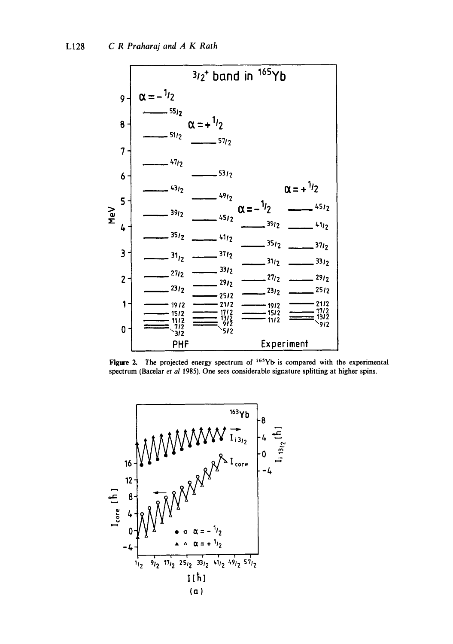

Figure 2. The projected energy spectrum of  $165Yb$  is compared with the experimental spectrum (Bacelar et al 1985). One sees considerable signature splitting at higher spins.

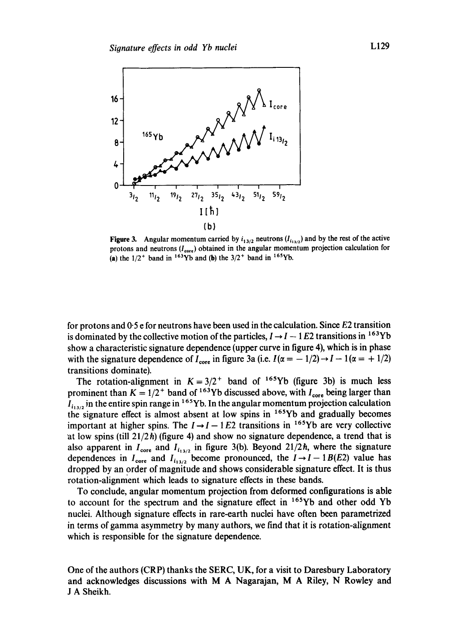

**Figure 3.** Angular momentum carried by  $i_{13/2}$  neutrons  $(l_{i_{13/2}})$  and by the rest of the active protons and neutrons  $(I_{\text{core}})$  obtained in the angular momentum projection calculation for (a) the  $1/2^+$  band in <sup>163</sup>Yb and (b) the  $3/2^+$  band in <sup>165</sup>Yb.

for protons and 0"5 e for neutrons have been used in the calculation. Since E2 transition is dominated by the collective motion of the particles,  $I \rightarrow I - 1E2$  transitions in <sup>163</sup>Yb show a characteristic signature dependence (upper curve in figure 4), which is in phase with the signature dependence of  $I_{\text{core}}$  in figure 3a (i.e.  $I(\alpha = -1/2) \rightarrow I - 1 (\alpha = +1/2)$ ) transitions dominate).

The rotation-alignment in  $K = 3/2^+$  band of <sup>165</sup>Yb (figure 3b) is much less prominent than  $K = 1/2^+$  band of <sup>163</sup>Yb discussed above, with  $I_{\text{core}}$  being larger than  $I_{i_1,j_2}$  in the entire spin range in <sup>165</sup>Yb. In the angular momentum projection calculation the signature effect is almost absent at low spins in <sup>165</sup>Yb and gradually becomes important at higher spins. The  $I \rightarrow I-1 E2$  transitions in <sup>165</sup>Yb are very collective at low spins (till  $21/2\hbar$ ) (figure 4) and show no signature dependence, a trend that is also apparent in  $I_{\text{core}}$  and  $I_{i_{13/2}}$  in figure 3(b). Beyond 21/2h, where the signature dependences in  $I_{\text{core}}$  and  $I_{i_{13/2}}$  become pronounced, the  $I \rightarrow I - 1B(E2)$  value has dropped by an order of magnitude and shows considerable signature effect. It is thus rotation-alignment which leads to signature effects in these bands.

To conclude, angular momentum projection from deformed configurations is able to account for the spectrum and the signature effect in  $165Yb$  and other odd Yb nuclei. Although signature effects in rare-earth nuclei have often been parametrized in terms of gamma asymmetry by many authors, we find that it is rotation-alignment which is responsible for the signature dependence.

One of the authors (CRP) thanks the SERC, UK, for a visit to Daresbury Laboratory and acknowledges discussions with M A Nagarajan, M A Riley, N Rowley and J A Sheikh.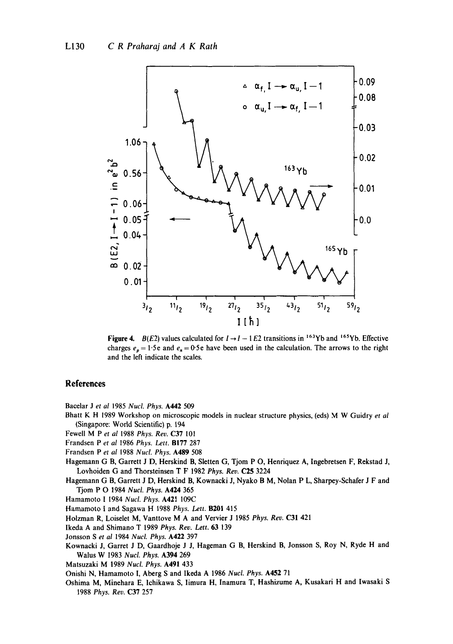

Figure 4.  $B(E2)$  values calculated for  $I \rightarrow I - 1E2$  transitions in <sup>163</sup>Yb and <sup>165</sup>Yb. Effective charges  $e_p = 1.5e$  and  $e_n = 0.5e$  have been used in the calculation. The arrows to the right and the left indicate the scales.

## **References**

Bacelar J et al 1985 Nucl. Phys. A442 509

- Bhatt K H 1989 Workshop on microscopic models in nuclear structure physics, (eds) M W Guidry et al (Singapore: World Scientific) p. 194
- Fewell M P et al 1988 Phys. Rev. C37 101
- Frandsen P et al 1986 Phys. Lett. B177 287
- Frandsen P et al 1988 Nucl. Phys. A489 508
- Hagemann G B, Garrett J D, Herskind B, Sletten G, Tjom P O, Henriquez A, Ingebretsen F, Rekstad J, Lovhoiden G and Thorsteinsen T F 1982 Phys. Rev. C25 3224
- Hagemann G B, Garrett J D, Herskind B, Kownacki J, Nyako B M, Nolan P L, Sharpey-Schafer J F and Tjom P O 1984 Nucl. Phys. A424 365
- Hamamoto I 1984 Nucl. Phys. A421 109C
- Hamamoto I and Sagawa H 1988 Phys. Lett. B201 415
- Holzman R, Loiselet M, Vanttove M A and Vervier J 1985 Phys. Rev. C31 421
- Ikeda A and Shimano T 1989 Phys. Rev. Lett. 63 139
- Jonsson S et al 1984 Nucl. Phys. A422 397
- Kownacki J, Garret J D, Gaardhoje J J, Hageman G B, Herskind B, Jonsson S, Roy N, Ryde H and Walus W 1983 Nucl. Phys. A394 269
- Matsuzaki M 1989 Nucl. Phys. A491 433
- Onishi N, Hamamoto I, Aberg S and Ikeda A 1986 Nucl. Phys. A452 71
- Oshima M, Minehara E, Ichikawa S, Iimura H, Inamura T, Hashizume A, Kusakari H and Iwasaki S 1988 Phys. Rev. C37 257